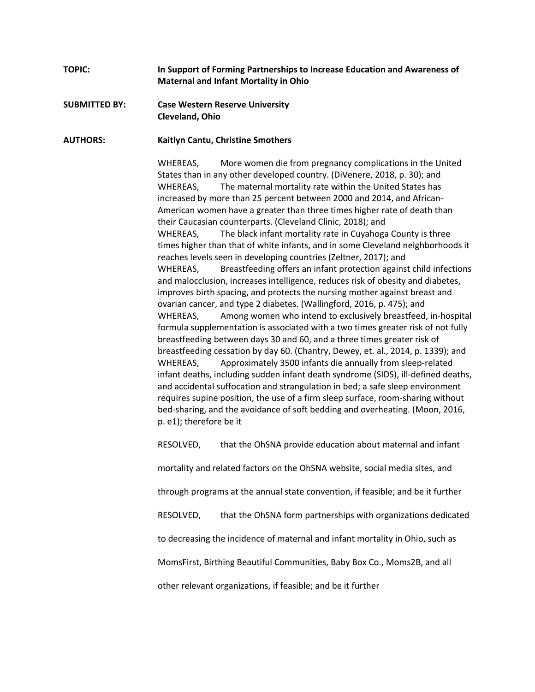## **TOPIC: In Support of Forming Partnerships to Increase Education and Awareness of Maternal and Infant Mortality in Ohio**

## **SUBMITTED BY: Case Western Reserve University Cleveland, Ohio**

## **AUTHORS: Kaitlyn Cantu, Christine Smothers**

WHEREAS, More women die from pregnancy complications in the United States than in any other developed country. (DiVenere, 2018, p. 30); and WHEREAS, The maternal mortality rate within the United States has increased by more than 25 percent between 2000 and 2014, and African-American women have a greater than three times higher rate of death than their Caucasian counterparts. (Cleveland Clinic, 2018); and WHEREAS, The black infant mortality rate in Cuyahoga County is three times higher than that of white infants, and in some Cleveland neighborhoods it reaches levels seen in developing countries (Zeltner, 2017); and WHEREAS, Breastfeeding offers an infant protection against child infections and malocclusion, increases intelligence, reduces risk of obesity and diabetes, improves birth spacing, and protects the nursing mother against breast and ovarian cancer, and type 2 diabetes. (Wallingford, 2016, p. 475); and WHEREAS, Among women who intend to exclusively breastfeed, in-hospital formula supplementation is associated with a two times greater risk of not fully breastfeeding between days 30 and 60, and a three times greater risk of breastfeeding cessation by day 60. (Chantry, Dewey, et. al., 2014, p. 1339); and WHEREAS, Approximately 3500 infants die annually from sleep-related infant deaths, including sudden infant death syndrome (SIDS), ill-defined deaths, and accidental suffocation and strangulation in bed; a safe sleep environment requires supine position, the use of a firm sleep surface, room-sharing without bed-sharing, and the avoidance of soft bedding and overheating. (Moon, 2016, p. e1); therefore be it

RESOLVED, that the OhSNA provide education about maternal and infant

mortality and related factors on the OhSNA website, social media sites, and

through programs at the annual state convention, if feasible; and be it further

RESOLVED, that the OhSNA form partnerships with organizations dedicated

to decreasing the incidence of maternal and infant mortality in Ohio, such as

MomsFirst, Birthing Beautiful Communities, Baby Box Co., Moms2B, and all

other relevant organizations, if feasible; and be it further